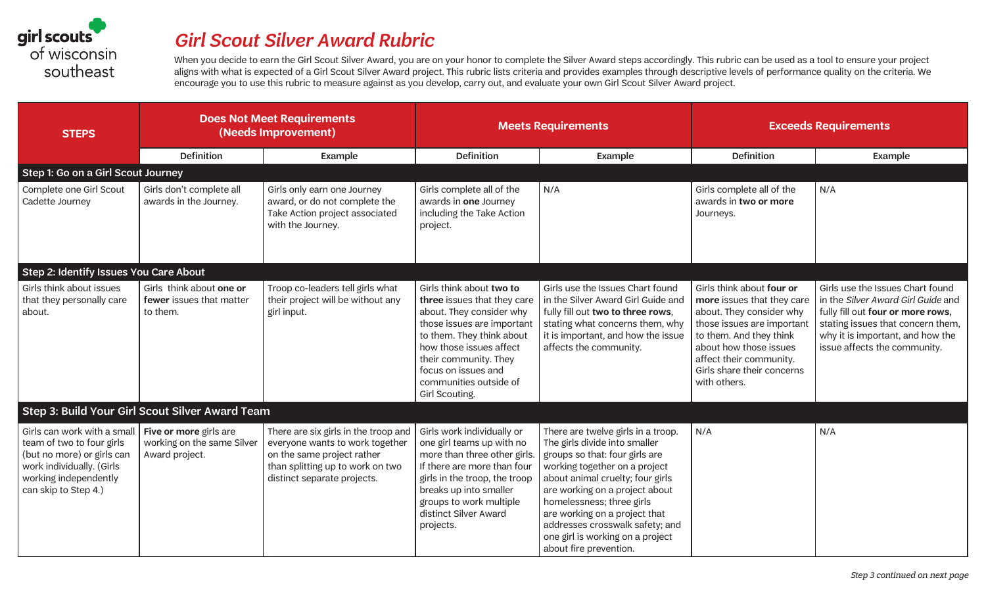

## *Girl Scout Silver Award Rubric*

When you decide to earn the Girl Scout Silver Award, you are on your honor to complete the Silver Award steps accordingly. This rubric can be used as a tool to ensure your project aligns with what is expected of a Girl Scout Silver Award project. This rubric lists criteria and provides examples through descriptive levels of performance quality on the criteria. We encourage you to use this rubric to measure against as you develop, carry out, and evaluate your own Girl Scout Silver Award project.

| <b>STEPS</b>                                                                                                                                                         | <b>Does Not Meet Requirements</b><br>(Needs Improvement)               |                                                                                                                                                                          | <b>Meets Requirements</b>                                                                                                                                                                                                                                             |                                                                                                                                                                                                                                                                                                                                                                             | <b>Exceeds Requirements</b>                                                                                                                                                                                                                     |                                                                                                                                                                                                                      |
|----------------------------------------------------------------------------------------------------------------------------------------------------------------------|------------------------------------------------------------------------|--------------------------------------------------------------------------------------------------------------------------------------------------------------------------|-----------------------------------------------------------------------------------------------------------------------------------------------------------------------------------------------------------------------------------------------------------------------|-----------------------------------------------------------------------------------------------------------------------------------------------------------------------------------------------------------------------------------------------------------------------------------------------------------------------------------------------------------------------------|-------------------------------------------------------------------------------------------------------------------------------------------------------------------------------------------------------------------------------------------------|----------------------------------------------------------------------------------------------------------------------------------------------------------------------------------------------------------------------|
|                                                                                                                                                                      | <b>Definition</b>                                                      | Example                                                                                                                                                                  | <b>Definition</b>                                                                                                                                                                                                                                                     | Example                                                                                                                                                                                                                                                                                                                                                                     | <b>Definition</b>                                                                                                                                                                                                                               | Example                                                                                                                                                                                                              |
| Step 1: Go on a Girl Scout Journey                                                                                                                                   |                                                                        |                                                                                                                                                                          |                                                                                                                                                                                                                                                                       |                                                                                                                                                                                                                                                                                                                                                                             |                                                                                                                                                                                                                                                 |                                                                                                                                                                                                                      |
| Complete one Girl Scout<br>Cadette Journey                                                                                                                           | Girls don't complete all<br>awards in the Journey.                     | Girls only earn one Journey<br>award, or do not complete the<br>Take Action project associated<br>with the Journey.                                                      | Girls complete all of the<br>awards in one Journey<br>including the Take Action<br>project.                                                                                                                                                                           | N/A                                                                                                                                                                                                                                                                                                                                                                         | Girls complete all of the<br>awards in two or more<br>Journeys.                                                                                                                                                                                 | N/A                                                                                                                                                                                                                  |
| Step 2: Identify Issues You Care About                                                                                                                               |                                                                        |                                                                                                                                                                          |                                                                                                                                                                                                                                                                       |                                                                                                                                                                                                                                                                                                                                                                             |                                                                                                                                                                                                                                                 |                                                                                                                                                                                                                      |
| Girls think about issues<br>that they personally care<br>about.                                                                                                      | Girls think about one or<br>fewer issues that matter<br>to them.       | Troop co-leaders tell girls what<br>their project will be without any<br>girl input.                                                                                     | Girls think about two to<br>three issues that they care<br>about. They consider why<br>those issues are important<br>to them. They think about<br>how those issues affect<br>their community. They<br>focus on issues and<br>communities outside of<br>Girl Scouting. | Girls use the Issues Chart found<br>in the Silver Award Girl Guide and<br>fully fill out two to three rows,<br>stating what concerns them, why<br>it is important, and how the issue<br>affects the community.                                                                                                                                                              | Girls think about four or<br>more issues that they care<br>about. They consider why<br>those issues are important<br>to them. And they think<br>about how those issues<br>affect their community.<br>Girls share their concerns<br>with others. | Girls use the Issues Chart found<br>in the Silver Award Girl Guide and<br>fully fill out four or more rows,<br>stating issues that concern them,<br>why it is important, and how the<br>issue affects the community. |
|                                                                                                                                                                      | Step 3: Build Your Girl Scout Silver Award Team                        |                                                                                                                                                                          |                                                                                                                                                                                                                                                                       |                                                                                                                                                                                                                                                                                                                                                                             |                                                                                                                                                                                                                                                 |                                                                                                                                                                                                                      |
| Girls can work with a small<br>team of two to four girls<br>(but no more) or girls can<br>work individually. (Girls<br>working independently<br>can skip to Step 4.) | Five or more girls are<br>working on the same Silver<br>Award project. | There are six girls in the troop and<br>everyone wants to work together<br>on the same project rather<br>than splitting up to work on two<br>distinct separate projects. | Girls work individually or<br>one girl teams up with no<br>more than three other girls.<br>If there are more than four<br>girls in the troop, the troop<br>breaks up into smaller<br>groups to work multiple<br>distinct Silver Award<br>projects.                    | There are twelve girls in a troop.<br>The girls divide into smaller<br>groups so that: four girls are<br>working together on a project<br>about animal cruelty; four girls<br>are working on a project about<br>homelessness; three girls<br>are working on a project that<br>addresses crosswalk safety; and<br>one girl is working on a project<br>about fire prevention. | N/A                                                                                                                                                                                                                                             | N/A                                                                                                                                                                                                                  |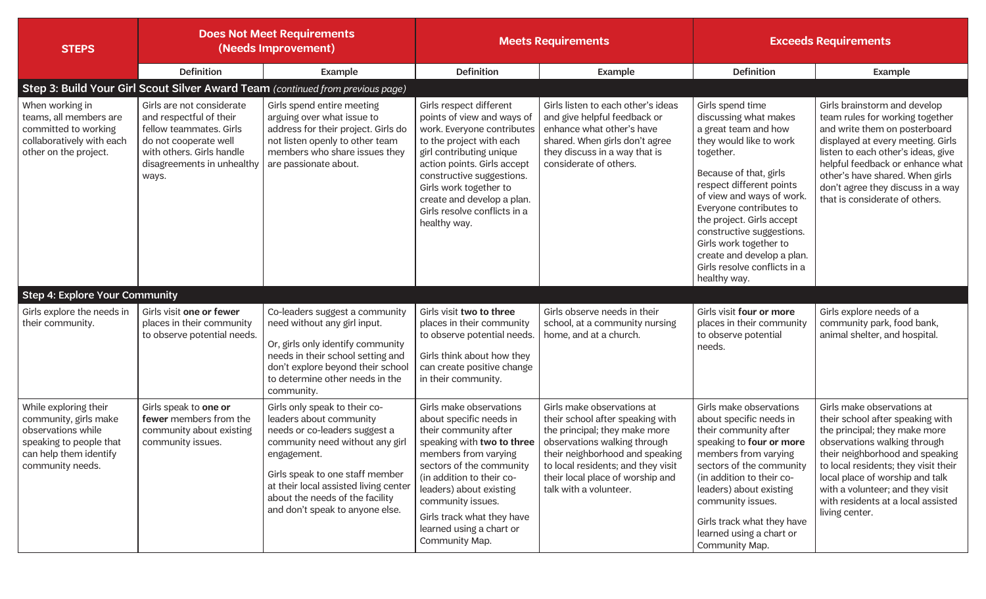| <b>STEPS</b>                                                                                                                                  | <b>Does Not Meet Requirements</b><br>(Needs Improvement)                                                                                                                     |                                                                                                                                                                                                                                                                                               | <b>Meets Requirements</b>                                                                                                                                                                                                                                                                                              |                                                                                                                                                                                                                                                                        | <b>Exceeds Requirements</b>                                                                                                                                                                                                                                                                                                                                                               |                                                                                                                                                                                                                                                                                                                                           |  |  |
|-----------------------------------------------------------------------------------------------------------------------------------------------|------------------------------------------------------------------------------------------------------------------------------------------------------------------------------|-----------------------------------------------------------------------------------------------------------------------------------------------------------------------------------------------------------------------------------------------------------------------------------------------|------------------------------------------------------------------------------------------------------------------------------------------------------------------------------------------------------------------------------------------------------------------------------------------------------------------------|------------------------------------------------------------------------------------------------------------------------------------------------------------------------------------------------------------------------------------------------------------------------|-------------------------------------------------------------------------------------------------------------------------------------------------------------------------------------------------------------------------------------------------------------------------------------------------------------------------------------------------------------------------------------------|-------------------------------------------------------------------------------------------------------------------------------------------------------------------------------------------------------------------------------------------------------------------------------------------------------------------------------------------|--|--|
|                                                                                                                                               | Definition                                                                                                                                                                   | Example                                                                                                                                                                                                                                                                                       | <b>Definition</b>                                                                                                                                                                                                                                                                                                      | Example                                                                                                                                                                                                                                                                | <b>Definition</b>                                                                                                                                                                                                                                                                                                                                                                         | Example                                                                                                                                                                                                                                                                                                                                   |  |  |
| Step 3: Build Your Girl Scout Silver Award Team (continued from previous page)                                                                |                                                                                                                                                                              |                                                                                                                                                                                                                                                                                               |                                                                                                                                                                                                                                                                                                                        |                                                                                                                                                                                                                                                                        |                                                                                                                                                                                                                                                                                                                                                                                           |                                                                                                                                                                                                                                                                                                                                           |  |  |
| When working in<br>teams, all members are<br>committed to working<br>collaboratively with each<br>other on the project.                       | Girls are not considerate<br>and respectful of their<br>fellow teammates. Girls<br>do not cooperate well<br>with others. Girls handle<br>disagreements in unhealthy<br>ways. | Girls spend entire meeting<br>arguing over what issue to<br>address for their project. Girls do<br>not listen openly to other team<br>members who share issues they<br>are passionate about.                                                                                                  | Girls respect different<br>points of view and ways of<br>work. Everyone contributes<br>to the project with each<br>girl contributing unique<br>action points. Girls accept<br>constructive suggestions.<br>Girls work together to<br>create and develop a plan.<br>Girls resolve conflicts in a<br>healthy way.        | Girls listen to each other's ideas<br>and give helpful feedback or<br>enhance what other's have<br>shared. When girls don't agree<br>they discuss in a way that is<br>considerate of others.                                                                           | Girls spend time<br>discussing what makes<br>a great team and how<br>they would like to work<br>together.<br>Because of that, girls<br>respect different points<br>of view and ways of work.<br>Everyone contributes to<br>the project. Girls accept<br>constructive suggestions.<br>Girls work together to<br>create and develop a plan.<br>Girls resolve conflicts in a<br>healthy way. | Girls brainstorm and develop<br>team rules for working together<br>and write them on posterboard<br>displayed at every meeting. Girls<br>listen to each other's ideas, give<br>helpful feedback or enhance what<br>other's have shared. When girls<br>don't agree they discuss in a way<br>that is considerate of others.                 |  |  |
| <b>Step 4: Explore Your Community</b>                                                                                                         |                                                                                                                                                                              |                                                                                                                                                                                                                                                                                               |                                                                                                                                                                                                                                                                                                                        |                                                                                                                                                                                                                                                                        |                                                                                                                                                                                                                                                                                                                                                                                           |                                                                                                                                                                                                                                                                                                                                           |  |  |
| Girls explore the needs in<br>their community.                                                                                                | Girls visit one or fewer<br>places in their community<br>to observe potential needs.                                                                                         | Co-leaders suggest a community<br>need without any girl input.<br>Or, girls only identify community<br>needs in their school setting and<br>don't explore beyond their school<br>to determine other needs in the<br>community.                                                                | Girls visit two to three<br>places in their community<br>to observe potential needs.<br>Girls think about how they<br>can create positive change<br>in their community.                                                                                                                                                | Girls observe needs in their<br>school, at a community nursing<br>home, and at a church.                                                                                                                                                                               | Girls visit four or more<br>places in their community<br>to observe potential<br>needs.                                                                                                                                                                                                                                                                                                   | Girls explore needs of a<br>community park, food bank,<br>animal shelter, and hospital.                                                                                                                                                                                                                                                   |  |  |
| While exploring their<br>community, girls make<br>observations while<br>speaking to people that<br>can help them identify<br>community needs. | Girls speak to one or<br>fewer members from the<br>community about existing<br>community issues.                                                                             | Girls only speak to their co-<br>leaders about community<br>needs or co-leaders suggest a<br>community need without any girl<br>engagement.<br>Girls speak to one staff member<br>at their local assisted living center<br>about the needs of the facility<br>and don't speak to anyone else. | Girls make observations<br>about specific needs in<br>their community after<br>speaking with two to three<br>members from varying<br>sectors of the community<br>(in addition to their co-<br>leaders) about existing<br>community issues.<br>Girls track what they have<br>learned using a chart or<br>Community Map. | Girls make observations at<br>their school after speaking with<br>the principal; they make more<br>observations walking through<br>their neighborhood and speaking<br>to local residents; and they visit<br>their local place of worship and<br>talk with a volunteer. | Girls make observations<br>about specific needs in<br>their community after<br>speaking to four or more<br>members from varying<br>sectors of the community<br>(in addition to their co-<br>leaders) about existing<br>community issues.<br>Girls track what they have<br>learned using a chart or<br>Community Map.                                                                      | Girls make observations at<br>their school after speaking with<br>the principal; they make more<br>observations walking through<br>their neighborhood and speaking<br>to local residents; they visit their<br>local place of worship and talk<br>with a volunteer; and they visit<br>with residents at a local assisted<br>living center. |  |  |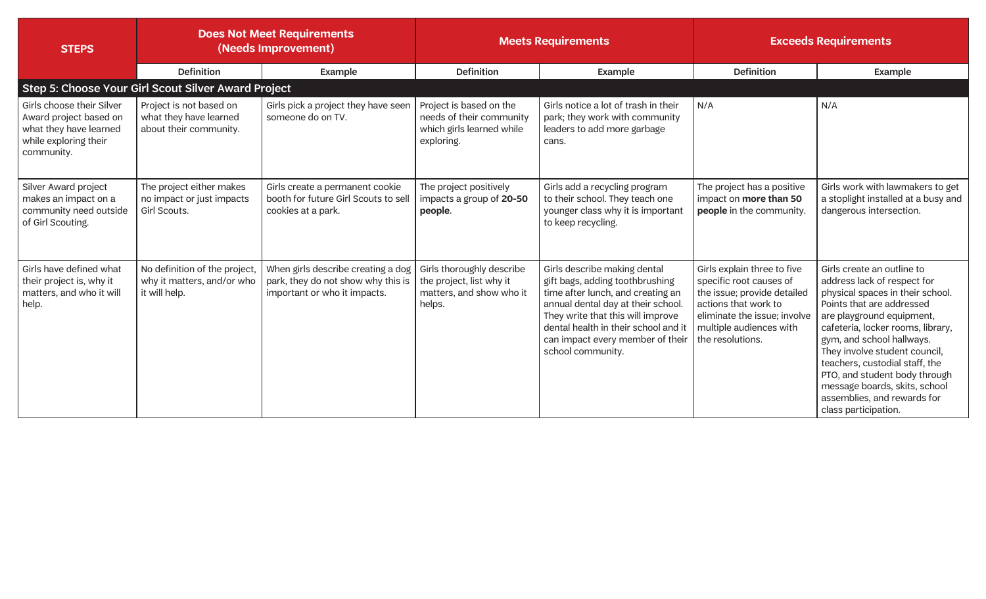| <b>STEPS</b>                                                                                                         | <b>Does Not Meet Requirements</b><br>(Needs Improvement)                     |                                                                                                          | <b>Meets Requirements</b>                                                                      |                                                                                                                                                                                                                                                                                  | <b>Exceeds Requirements</b>                                                                                                                                                                  |                                                                                                                                                                                                                                                                                                                                                                                                                       |
|----------------------------------------------------------------------------------------------------------------------|------------------------------------------------------------------------------|----------------------------------------------------------------------------------------------------------|------------------------------------------------------------------------------------------------|----------------------------------------------------------------------------------------------------------------------------------------------------------------------------------------------------------------------------------------------------------------------------------|----------------------------------------------------------------------------------------------------------------------------------------------------------------------------------------------|-----------------------------------------------------------------------------------------------------------------------------------------------------------------------------------------------------------------------------------------------------------------------------------------------------------------------------------------------------------------------------------------------------------------------|
|                                                                                                                      | <b>Definition</b>                                                            | Example                                                                                                  | <b>Definition</b>                                                                              | Example                                                                                                                                                                                                                                                                          | <b>Definition</b>                                                                                                                                                                            | Example                                                                                                                                                                                                                                                                                                                                                                                                               |
|                                                                                                                      | Step 5: Choose Your Girl Scout Silver Award Project                          |                                                                                                          |                                                                                                |                                                                                                                                                                                                                                                                                  |                                                                                                                                                                                              |                                                                                                                                                                                                                                                                                                                                                                                                                       |
| Girls choose their Silver<br>Award project based on<br>what they have learned<br>while exploring their<br>community. | Project is not based on<br>what they have learned<br>about their community.  | Girls pick a project they have seen<br>someone do on TV.                                                 | Project is based on the<br>needs of their community<br>which girls learned while<br>exploring. | Girls notice a lot of trash in their<br>park; they work with community<br>leaders to add more garbage<br>cans.                                                                                                                                                                   | N/A                                                                                                                                                                                          | N/A                                                                                                                                                                                                                                                                                                                                                                                                                   |
| Silver Award project<br>makes an impact on a<br>community need outside<br>of Girl Scouting.                          | The project either makes<br>no impact or just impacts<br>Girl Scouts.        | Girls create a permanent cookie<br>booth for future Girl Scouts to sell<br>cookies at a park.            | The project positively<br>impacts a group of 20-50<br>people.                                  | Girls add a recycling program<br>to their school. They teach one<br>younger class why it is important<br>to keep recycling.                                                                                                                                                      | The project has a positive<br>impact on more than 50<br>people in the community.                                                                                                             | Girls work with lawmakers to get<br>a stoplight installed at a busy and<br>dangerous intersection.                                                                                                                                                                                                                                                                                                                    |
| Girls have defined what<br>their project is, why it<br>matters, and who it will<br>help.                             | No definition of the project,<br>why it matters, and/or who<br>it will help. | When girls describe creating a dog<br>park, they do not show why this is<br>important or who it impacts. | Girls thoroughly describe<br>the project, list why it<br>matters, and show who it<br>helps.    | Girls describe making dental<br>gift bags, adding toothbrushing<br>time after lunch, and creating an<br>annual dental day at their school.<br>They write that this will improve<br>dental health in their school and it<br>can impact every member of their<br>school community. | Girls explain three to five<br>specific root causes of<br>the issue; provide detailed<br>actions that work to<br>eliminate the issue; involve<br>multiple audiences with<br>the resolutions. | Girls create an outline to<br>address lack of respect for<br>physical spaces in their school.<br>Points that are addressed<br>are playground equipment,<br>cafeteria, locker rooms, library,<br>gym, and school hallways.<br>They involve student council,<br>teachers, custodial staff, the<br>PTO, and student body through<br>message boards, skits, school<br>assemblies, and rewards for<br>class participation. |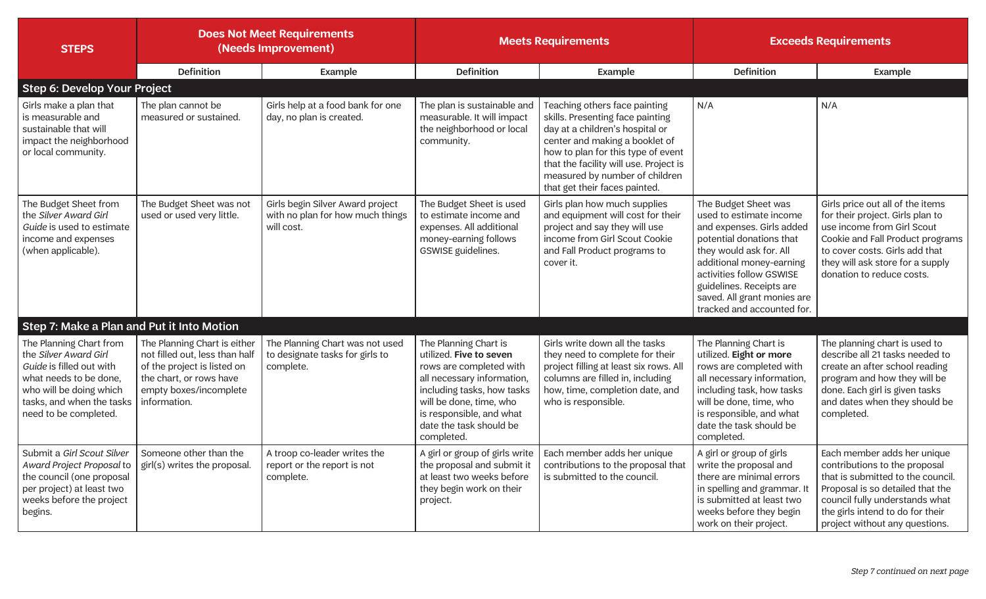| <b>STEPS</b>                                                                                                                                                                            | <b>Does Not Meet Requirements</b><br>(Needs Improvement)                                                                                                           |                                                                                    | <b>Meets Requirements</b>                                                                                                                                                                                                               |                                                                                                                                                                                                                                                                                           | <b>Exceeds Requirements</b>                                                                                                                                                                                                                                                          |                                                                                                                                                                                                                                               |
|-----------------------------------------------------------------------------------------------------------------------------------------------------------------------------------------|--------------------------------------------------------------------------------------------------------------------------------------------------------------------|------------------------------------------------------------------------------------|-----------------------------------------------------------------------------------------------------------------------------------------------------------------------------------------------------------------------------------------|-------------------------------------------------------------------------------------------------------------------------------------------------------------------------------------------------------------------------------------------------------------------------------------------|--------------------------------------------------------------------------------------------------------------------------------------------------------------------------------------------------------------------------------------------------------------------------------------|-----------------------------------------------------------------------------------------------------------------------------------------------------------------------------------------------------------------------------------------------|
|                                                                                                                                                                                         | <b>Definition</b>                                                                                                                                                  | Example                                                                            | <b>Definition</b>                                                                                                                                                                                                                       | Example                                                                                                                                                                                                                                                                                   | Definition                                                                                                                                                                                                                                                                           | Example                                                                                                                                                                                                                                       |
| Step 6: Develop Your Project                                                                                                                                                            |                                                                                                                                                                    |                                                                                    |                                                                                                                                                                                                                                         |                                                                                                                                                                                                                                                                                           |                                                                                                                                                                                                                                                                                      |                                                                                                                                                                                                                                               |
| Girls make a plan that<br>is measurable and<br>sustainable that will<br>impact the neighborhood<br>or local community.                                                                  | The plan cannot be<br>measured or sustained.                                                                                                                       | Girls help at a food bank for one<br>day, no plan is created.                      | The plan is sustainable and<br>measurable. It will impact<br>the neighborhood or local<br>community.                                                                                                                                    | Teaching others face painting<br>skills. Presenting face painting<br>day at a children's hospital or<br>center and making a booklet of<br>how to plan for this type of event<br>that the facility will use. Project is<br>measured by number of children<br>that get their faces painted. | N/A                                                                                                                                                                                                                                                                                  | N/A                                                                                                                                                                                                                                           |
| The Budget Sheet from<br>the Silver Award Girl<br>Guide is used to estimate<br>income and expenses<br>(when applicable).                                                                | The Budget Sheet was not<br>used or used very little.                                                                                                              | Girls begin Silver Award project<br>with no plan for how much things<br>will cost. | The Budget Sheet is used<br>to estimate income and<br>expenses. All additional<br>money-earning follows<br>GSWISE guidelines.                                                                                                           | Girls plan how much supplies<br>and equipment will cost for their<br>project and say they will use<br>income from Girl Scout Cookie<br>and Fall Product programs to<br>cover it.                                                                                                          | The Budget Sheet was<br>used to estimate income<br>and expenses. Girls added<br>potential donations that<br>they would ask for. All<br>additional money-earning<br>activities follow GSWISE<br>guidelines. Receipts are<br>saved. All grant monies are<br>tracked and accounted for. | Girls price out all of the items<br>for their project. Girls plan to<br>use income from Girl Scout<br>Cookie and Fall Product programs<br>to cover costs. Girls add that<br>they will ask store for a supply<br>donation to reduce costs.     |
| Step 7: Make a Plan and Put it Into Motion                                                                                                                                              |                                                                                                                                                                    |                                                                                    |                                                                                                                                                                                                                                         |                                                                                                                                                                                                                                                                                           |                                                                                                                                                                                                                                                                                      |                                                                                                                                                                                                                                               |
| The Planning Chart from<br>the Silver Award Girl<br>Guide is filled out with<br>what needs to be done,<br>who will be doing which<br>tasks, and when the tasks<br>need to be completed. | The Planning Chart is either<br>not filled out, less than half<br>of the project is listed on<br>the chart, or rows have<br>empty boxes/incomplete<br>information. | The Planning Chart was not used<br>to designate tasks for girls to<br>complete.    | The Planning Chart is<br>utilized. Five to seven<br>rows are completed with<br>all necessary information,<br>including tasks, how tasks<br>will be done, time, who<br>is responsible, and what<br>date the task should be<br>completed. | Girls write down all the tasks<br>they need to complete for their<br>project filling at least six rows. All<br>columns are filled in, including<br>how, time, completion date, and<br>who is responsible.                                                                                 | The Planning Chart is<br>utilized. Eight or more<br>rows are completed with<br>all necessary information,<br>including task, how tasks<br>will be done, time, who<br>is responsible, and what<br>date the task should be<br>completed.                                               | The planning chart is used to<br>describe all 21 tasks needed to<br>create an after school reading<br>program and how they will be<br>done. Each girl is given tasks<br>and dates when they should be<br>completed.                           |
| Submit a Girl Scout Silver<br>Award Project Proposal to<br>the council (one proposal<br>per project) at least two<br>weeks before the project<br>begins.                                | Someone other than the<br>girl(s) writes the proposal.                                                                                                             | A troop co-leader writes the<br>report or the report is not<br>complete.           | A girl or group of girls write<br>the proposal and submit it<br>at least two weeks before<br>they begin work on their<br>project.                                                                                                       | Each member adds her unique<br>contributions to the proposal that<br>is submitted to the council.                                                                                                                                                                                         | A girl or group of girls<br>write the proposal and<br>there are minimal errors<br>in spelling and grammar. It<br>is submitted at least two<br>weeks before they begin<br>work on their project.                                                                                      | Each member adds her unique<br>contributions to the proposal<br>that is submitted to the council.<br>Proposal is so detailed that the<br>council fully understands what<br>the girls intend to do for their<br>project without any questions. |